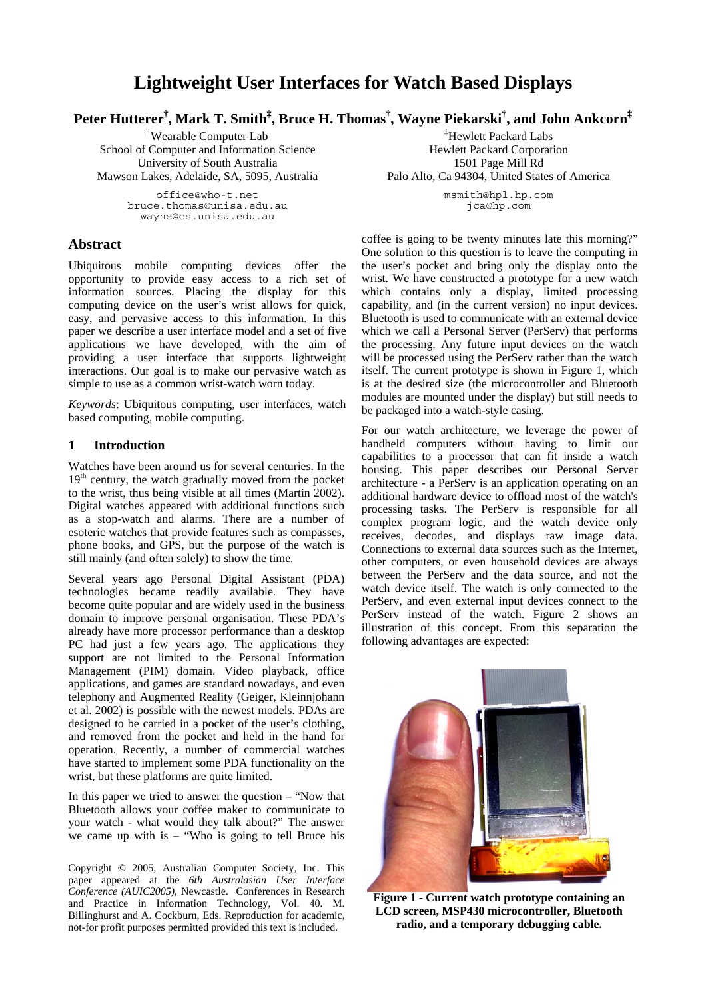# **Lightweight User Interfaces for Watch Based Displays**

**Peter Hutterer† , Mark T. Smith‡ , Bruce H. Thomas† , Wayne Piekarski† , and John Ankcorn‡**

† Wearable Computer Lab School of Computer and Information Science University of South Australia Mawson Lakes, Adelaide, SA, 5095, Australia

> office@who-t.net bruce.thomas@unisa.edu.au wayne@cs.unisa.edu.au

### **Abstract**

Ubiquitous mobile computing devices offer the opportunity to provide easy access to a rich set of information sources. Placing the display for this computing device on the user's wrist allows for quick, easy, and pervasive access to this information. In this paper we describe a user interface model and a set of five applications we have developed, with the aim of providing a user interface that supports lightweight interactions. Our goal is to make our pervasive watch as simple to use as a common wrist-watch worn today.

*Keywords*: Ubiquitous computing, user interfaces, watch based computing, mobile computing.

### **1 Introduction**

Watches have been around us for several centuries. In the  $19<sup>th</sup>$  century, the watch gradually moved from the pocket to the wrist, thus being visible at all times (Martin 2002). Digital watches appeared with additional functions such as a stop-watch and alarms. There are a number of esoteric watches that provide features such as compasses, phone books, and GPS, but the purpose of the watch is still mainly (and often solely) to show the time.

Several years ago Personal Digital Assistant (PDA) technologies became readily available. They have become quite popular and are widely used in the business domain to improve personal organisation. These PDA's already have more processor performance than a desktop PC had just a few years ago. The applications they support are not limited to the Personal Information Management (PIM) domain. Video playback, office applications, and games are standard nowadays, and even telephony and Augmented Reality (Geiger, Kleinnjohann et al. 2002) is possible with the newest models. PDAs are designed to be carried in a pocket of the user's clothing, and removed from the pocket and held in the hand for operation. Recently, a number of commercial watches have started to implement some PDA functionality on the wrist, but these platforms are quite limited.

In this paper we tried to answer the question – "Now that Bluetooth allows your coffee maker to communicate to your watch - what would they talk about?" The answer we came up with is  $-$  "Who is going to tell Bruce his

Copyright © 2005, Australian Computer Society, Inc. This paper appeared at the *6th Australasian User Interface Conference (AUIC2005)*, Newcastle. Conferences in Research and Practice in Information Technology, Vol. 40. M. Billinghurst and A. Cockburn, Eds. Reproduction for academic, not-for profit purposes permitted provided this text is included.

‡ Hewlett Packard Labs Hewlett Packard Corporation 1501 Page Mill Rd Palo Alto, Ca 94304, United States of America

> msmith@hpl.hp.com jca@hp.com

coffee is going to be twenty minutes late this morning?" One solution to this question is to leave the computing in the user's pocket and bring only the display onto the wrist. We have constructed a prototype for a new watch which contains only a display, limited processing capability, and (in the current version) no input devices. Bluetooth is used to communicate with an external device which we call a Personal Server (PerServ) that performs the processing. Any future input devices on the watch will be processed using the PerServ rather than the watch itself. The current prototype is shown in Figure 1, which is at the desired size (the microcontroller and Bluetooth modules are mounted under the display) but still needs to be packaged into a watch-style casing.

For our watch architecture, we leverage the power of handheld computers without having to limit our capabilities to a processor that can fit inside a watch housing. This paper describes our Personal Server architecture - a PerServ is an application operating on an additional hardware device to offload most of the watch's processing tasks. The PerServ is responsible for all complex program logic, and the watch device only receives, decodes, and displays raw image data. Connections to external data sources such as the Internet, other computers, or even household devices are always between the PerServ and the data source, and not the watch device itself. The watch is only connected to the PerServ, and even external input devices connect to the PerServ instead of the watch. Figure 2 shows an illustration of this concept. From this separation the following advantages are expected:



**Figure 1 - Current watch prototype containing an LCD screen, MSP430 microcontroller, Bluetooth radio, and a temporary debugging cable.**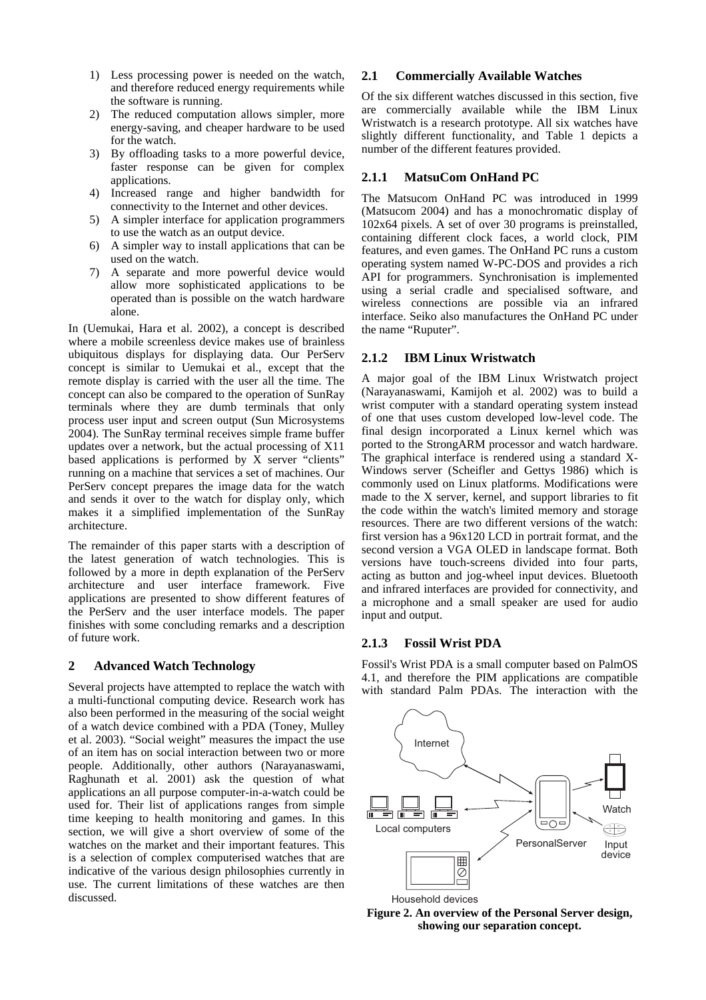- 1) Less processing power is needed on the watch, and therefore reduced energy requirements while the software is running.
- 2) The reduced computation allows simpler, more energy-saving, and cheaper hardware to be used for the watch.
- 3) By offloading tasks to a more powerful device, faster response can be given for complex applications.
- 4) Increased range and higher bandwidth for connectivity to the Internet and other devices.
- 5) A simpler interface for application programmers to use the watch as an output device.
- 6) A simpler way to install applications that can be used on the watch.
- 7) A separate and more powerful device would allow more sophisticated applications to be operated than is possible on the watch hardware alone.

In (Uemukai, Hara et al. 2002), a concept is described where a mobile screenless device makes use of brainless ubiquitous displays for displaying data. Our PerServ concept is similar to Uemukai et al., except that the remote display is carried with the user all the time. The concept can also be compared to the operation of SunRay terminals where they are dumb terminals that only process user input and screen output (Sun Microsystems 2004). The SunRay terminal receives simple frame buffer updates over a network, but the actual processing of X11 based applications is performed by  $\overline{X}$  server "clients" running on a machine that services a set of machines. Our PerServ concept prepares the image data for the watch and sends it over to the watch for display only, which makes it a simplified implementation of the SunRay architecture.

The remainder of this paper starts with a description of the latest generation of watch technologies. This is followed by a more in depth explanation of the PerServ architecture and user interface framework. Five applications are presented to show different features of the PerServ and the user interface models. The paper finishes with some concluding remarks and a description of future work.

### **2 Advanced Watch Technology**

Several projects have attempted to replace the watch with a multi-functional computing device. Research work has also been performed in the measuring of the social weight of a watch device combined with a PDA (Toney, Mulley et al. 2003). "Social weight" measures the impact the use of an item has on social interaction between two or more people. Additionally, other authors (Narayanaswami, Raghunath et al. 2001) ask the question of what applications an all purpose computer-in-a-watch could be used for. Their list of applications ranges from simple time keeping to health monitoring and games. In this section, we will give a short overview of some of the watches on the market and their important features. This is a selection of complex computerised watches that are indicative of the various design philosophies currently in use. The current limitations of these watches are then discussed.

#### **2.1 Commercially Available Watches**

Of the six different watches discussed in this section, five are commercially available while the IBM Linux Wristwatch is a research prototype. All six watches have slightly different functionality, and Table 1 depicts a number of the different features provided.

#### **2.1.1 MatsuCom OnHand PC**

The Matsucom OnHand PC was introduced in 1999 (Matsucom 2004) and has a monochromatic display of 102x64 pixels. A set of over 30 programs is preinstalled, containing different clock faces, a world clock, PIM features, and even games. The OnHand PC runs a custom operating system named W-PC-DOS and provides a rich API for programmers. Synchronisation is implemented using a serial cradle and specialised software, and wireless connections are possible via an infrared interface. Seiko also manufactures the OnHand PC under the name "Ruputer".

#### **2.1.2 IBM Linux Wristwatch**

A major goal of the IBM Linux Wristwatch project (Narayanaswami, Kamijoh et al. 2002) was to build a wrist computer with a standard operating system instead of one that uses custom developed low-level code. The final design incorporated a Linux kernel which was ported to the StrongARM processor and watch hardware. The graphical interface is rendered using a standard X-Windows server (Scheifler and Gettys 1986) which is commonly used on Linux platforms. Modifications were made to the X server, kernel, and support libraries to fit the code within the watch's limited memory and storage resources. There are two different versions of the watch: first version has a 96x120 LCD in portrait format, and the second version a VGA OLED in landscape format. Both versions have touch-screens divided into four parts, acting as button and jog-wheel input devices. Bluetooth and infrared interfaces are provided for connectivity, and a microphone and a small speaker are used for audio input and output.

### **2.1.3 Fossil Wrist PDA**

Fossil's Wrist PDA is a small computer based on PalmOS 4.1, and therefore the PIM applications are compatible with standard Palm PDAs. The interaction with the



**Figure 2. An overview of the Personal Server design, showing our separation concept.**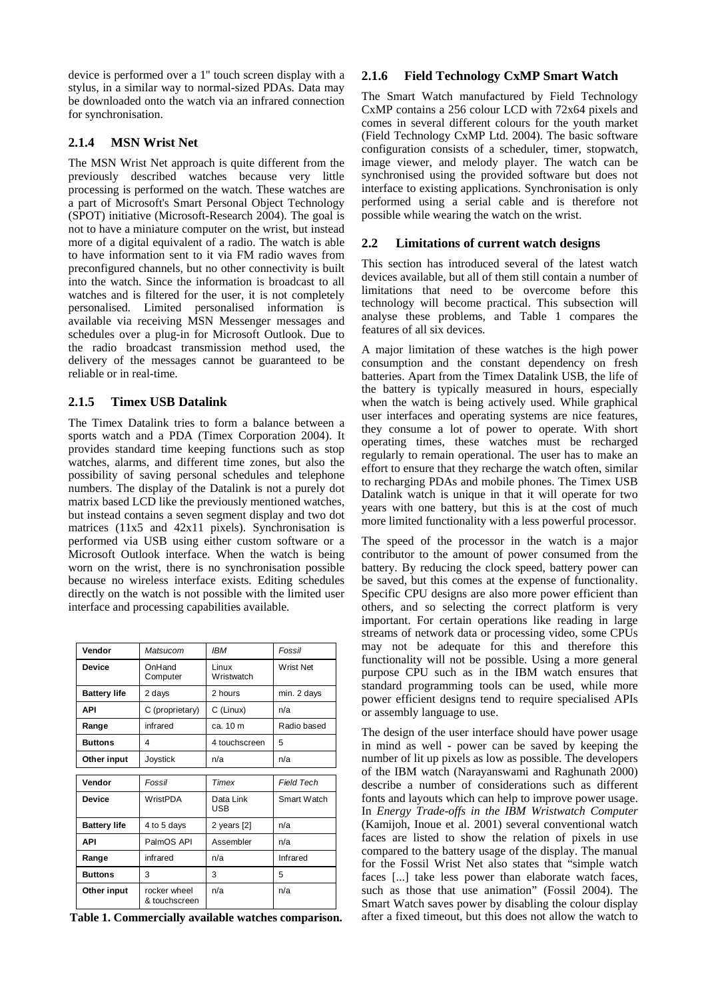device is performed over a 1'' touch screen display with a stylus, in a similar way to normal-sized PDAs. Data may be downloaded onto the watch via an infrared connection for synchronisation.

# **2.1.4 MSN Wrist Net**

The MSN Wrist Net approach is quite different from the previously described watches because very little processing is performed on the watch. These watches are a part of Microsoft's Smart Personal Object Technology (SPOT) initiative (Microsoft-Research 2004). The goal is not to have a miniature computer on the wrist, but instead more of a digital equivalent of a radio. The watch is able to have information sent to it via FM radio waves from preconfigured channels, but no other connectivity is built into the watch. Since the information is broadcast to all watches and is filtered for the user, it is not completely personalised. Limited personalised information is available via receiving MSN Messenger messages and schedules over a plug-in for Microsoft Outlook. Due to the radio broadcast transmission method used, the delivery of the messages cannot be guaranteed to be reliable or in real-time.

# **2.1.5 Timex USB Datalink**

The Timex Datalink tries to form a balance between a sports watch and a PDA (Timex Corporation 2004). It provides standard time keeping functions such as stop watches, alarms, and different time zones, but also the possibility of saving personal schedules and telephone numbers. The display of the Datalink is not a purely dot matrix based LCD like the previously mentioned watches, but instead contains a seven segment display and two dot matrices (11x5 and 42x11 pixels). Synchronisation is performed via USB using either custom software or a Microsoft Outlook interface. When the watch is being worn on the wrist, there is no synchronisation possible because no wireless interface exists. Editing schedules directly on the watch is not possible with the limited user interface and processing capabilities available.

| Vendor              | Matsucom                          | <b>IBM</b>          | Fossil            |  |
|---------------------|-----------------------------------|---------------------|-------------------|--|
| <b>Device</b>       | OnHand<br>Computer                | Linux<br>Wristwatch | <b>Wrist Net</b>  |  |
| <b>Battery life</b> | 2 days                            | 2 hours             | min. 2 days       |  |
| <b>API</b>          | C (proprietary)                   | C (Linux)           | n/a               |  |
| Range               | infrared                          | ca. 10 m            | Radio based       |  |
| <b>Buttons</b>      | 4                                 | 4 touchscreen       | 5                 |  |
| Other input         | Joystick                          | n/a                 | n/a               |  |
| Vendor              | Fossil                            | Timex               | <b>Field Tech</b> |  |
|                     |                                   |                     |                   |  |
| <b>Device</b>       | WristPDA                          | Data Link<br>USB    | Smart Watch       |  |
| <b>Battery life</b> | 4 to 5 days<br>2 years [2]<br>n/a |                     |                   |  |
| <b>API</b>          | PalmOS API                        | Assembler           | n/a               |  |
| Range               | infrared                          | n/a                 | Infrared          |  |
| <b>Buttons</b>      | 3                                 | 3                   | 5                 |  |
| Other input         | rocker wheel<br>& touchscreen     | n/a                 | n/a               |  |

**Table 1. Commercially available watches comparison.**

# **2.1.6 Field Technology CxMP Smart Watch**

The Smart Watch manufactured by Field Technology CxMP contains a 256 colour LCD with 72x64 pixels and comes in several different colours for the youth market (Field Technology CxMP Ltd. 2004). The basic software configuration consists of a scheduler, timer, stopwatch, image viewer, and melody player. The watch can be synchronised using the provided software but does not interface to existing applications. Synchronisation is only performed using a serial cable and is therefore not possible while wearing the watch on the wrist.

# **2.2 Limitations of current watch designs**

This section has introduced several of the latest watch devices available, but all of them still contain a number of limitations that need to be overcome before this technology will become practical. This subsection will analyse these problems, and Table 1 compares the features of all six devices.

A major limitation of these watches is the high power consumption and the constant dependency on fresh batteries. Apart from the Timex Datalink USB, the life of the battery is typically measured in hours, especially when the watch is being actively used. While graphical user interfaces and operating systems are nice features, they consume a lot of power to operate. With short operating times, these watches must be recharged regularly to remain operational. The user has to make an effort to ensure that they recharge the watch often, similar to recharging PDAs and mobile phones. The Timex USB Datalink watch is unique in that it will operate for two years with one battery, but this is at the cost of much more limited functionality with a less powerful processor.

The speed of the processor in the watch is a major contributor to the amount of power consumed from the battery. By reducing the clock speed, battery power can be saved, but this comes at the expense of functionality. Specific CPU designs are also more power efficient than others, and so selecting the correct platform is very important. For certain operations like reading in large streams of network data or processing video, some CPUs may not be adequate for this and therefore this functionality will not be possible. Using a more general purpose CPU such as in the IBM watch ensures that standard programming tools can be used, while more power efficient designs tend to require specialised APIs or assembly language to use.

The design of the user interface should have power usage in mind as well - power can be saved by keeping the number of lit up pixels as low as possible. The developers of the IBM watch (Narayanswami and Raghunath 2000) describe a number of considerations such as different fonts and layouts which can help to improve power usage. In *Energy Trade-offs in the IBM Wristwatch Computer* (Kamijoh, Inoue et al. 2001) several conventional watch faces are listed to show the relation of pixels in use compared to the battery usage of the display. The manual for the Fossil Wrist Net also states that "simple watch faces [...] take less power than elaborate watch faces, such as those that use animation" (Fossil 2004). The Smart Watch saves power by disabling the colour display after a fixed timeout, but this does not allow the watch to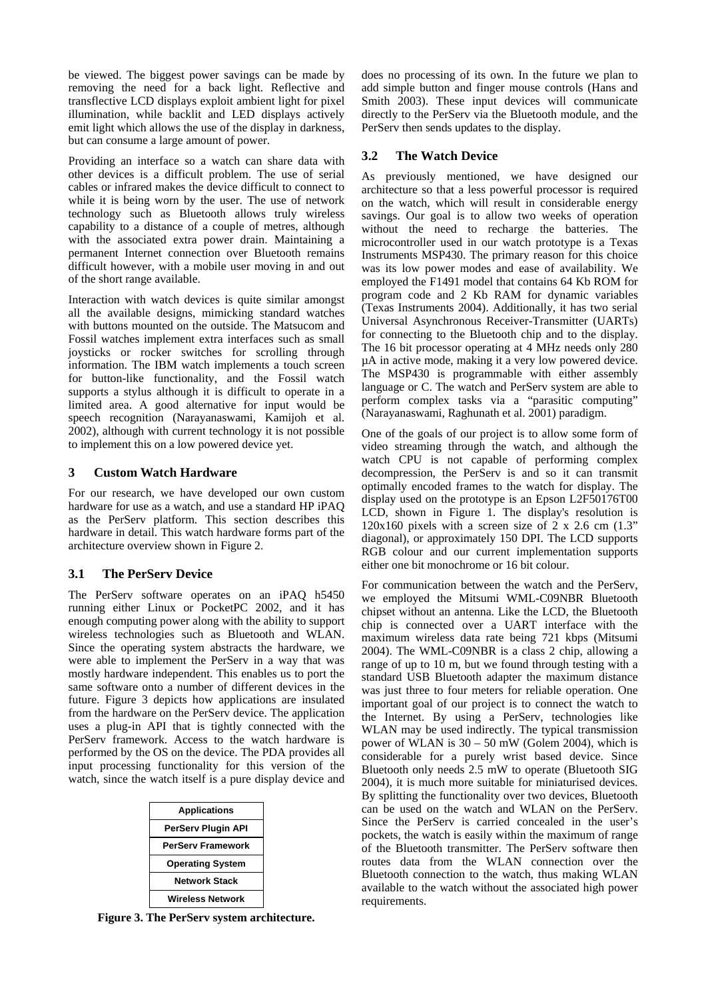be viewed. The biggest power savings can be made by removing the need for a back light. Reflective and transflective LCD displays exploit ambient light for pixel illumination, while backlit and LED displays actively emit light which allows the use of the display in darkness, but can consume a large amount of power.

Providing an interface so a watch can share data with other devices is a difficult problem. The use of serial cables or infrared makes the device difficult to connect to while it is being worn by the user. The use of network technology such as Bluetooth allows truly wireless capability to a distance of a couple of metres, although with the associated extra power drain. Maintaining a permanent Internet connection over Bluetooth remains difficult however, with a mobile user moving in and out of the short range available.

Interaction with watch devices is quite similar amongst all the available designs, mimicking standard watches with buttons mounted on the outside. The Matsucom and Fossil watches implement extra interfaces such as small joysticks or rocker switches for scrolling through information. The IBM watch implements a touch screen for button-like functionality, and the Fossil watch supports a stylus although it is difficult to operate in a limited area. A good alternative for input would be speech recognition (Narayanaswami, Kamijoh et al. 2002), although with current technology it is not possible to implement this on a low powered device yet.

# **3 Custom Watch Hardware**

For our research, we have developed our own custom hardware for use as a watch, and use a standard HP iPAQ as the PerServ platform. This section describes this hardware in detail. This watch hardware forms part of the architecture overview shown in Figure 2.

# **3.1 The PerServ Device**

The PerServ software operates on an iPAQ h5450 running either Linux or PocketPC 2002, and it has enough computing power along with the ability to support wireless technologies such as Bluetooth and WLAN. Since the operating system abstracts the hardware, we were able to implement the PerServ in a way that was mostly hardware independent. This enables us to port the same software onto a number of different devices in the future. Figure 3 depicts how applications are insulated from the hardware on the PerServ device. The application uses a plug-in API that is tightly connected with the PerServ framework. Access to the watch hardware is performed by the OS on the device. The PDA provides all input processing functionality for this version of the watch, since the watch itself is a pure display device and

| <b>Applications</b>       |  |  |
|---------------------------|--|--|
| <b>PerServ Plugin API</b> |  |  |
| <b>PerServ Framework</b>  |  |  |
| <b>Operating System</b>   |  |  |
| <b>Network Stack</b>      |  |  |
| <b>Wireless Network</b>   |  |  |

**Figure 3. The PerServ system architecture.** 

does no processing of its own. In the future we plan to add simple button and finger mouse controls (Hans and Smith 2003). These input devices will communicate directly to the PerServ via the Bluetooth module, and the PerServ then sends updates to the display.

# **3.2 The Watch Device**

As previously mentioned, we have designed our architecture so that a less powerful processor is required on the watch, which will result in considerable energy savings. Our goal is to allow two weeks of operation without the need to recharge the batteries. The microcontroller used in our watch prototype is a Texas Instruments MSP430. The primary reason for this choice was its low power modes and ease of availability. We employed the F1491 model that contains 64 Kb ROM for program code and 2 Kb RAM for dynamic variables (Texas Instruments 2004). Additionally, it has two serial Universal Asynchronous Receiver-Transmitter (UARTs) for connecting to the Bluetooth chip and to the display. The 16 bit processor operating at 4 MHz needs only 280 µA in active mode, making it a very low powered device. The MSP430 is programmable with either assembly language or C. The watch and PerServ system are able to perform complex tasks via a "parasitic computing" (Narayanaswami, Raghunath et al. 2001) paradigm.

One of the goals of our project is to allow some form of video streaming through the watch, and although the watch CPU is not capable of performing complex decompression, the PerServ is and so it can transmit optimally encoded frames to the watch for display. The display used on the prototype is an Epson L2F50176T00 LCD, shown in Figure 1. The display's resolution is  $120x160$  pixels with a screen size of 2 x 2.6 cm  $(1.3"$ diagonal), or approximately 150 DPI. The LCD supports RGB colour and our current implementation supports either one bit monochrome or 16 bit colour.

For communication between the watch and the PerServ, we employed the Mitsumi WML-C09NBR Bluetooth chipset without an antenna. Like the LCD, the Bluetooth chip is connected over a UART interface with the maximum wireless data rate being 721 kbps (Mitsumi 2004). The WML-C09NBR is a class 2 chip, allowing a range of up to 10 m, but we found through testing with a standard USB Bluetooth adapter the maximum distance was just three to four meters for reliable operation. One important goal of our project is to connect the watch to the Internet. By using a PerServ, technologies like WLAN may be used indirectly. The typical transmission power of WLAN is 30 – 50 mW (Golem 2004), which is considerable for a purely wrist based device. Since Bluetooth only needs 2.5 mW to operate (Bluetooth SIG 2004), it is much more suitable for miniaturised devices. By splitting the functionality over two devices, Bluetooth can be used on the watch and WLAN on the PerServ. Since the PerServ is carried concealed in the user's pockets, the watch is easily within the maximum of range of the Bluetooth transmitter. The PerServ software then routes data from the WLAN connection over the Bluetooth connection to the watch, thus making WLAN available to the watch without the associated high power requirements.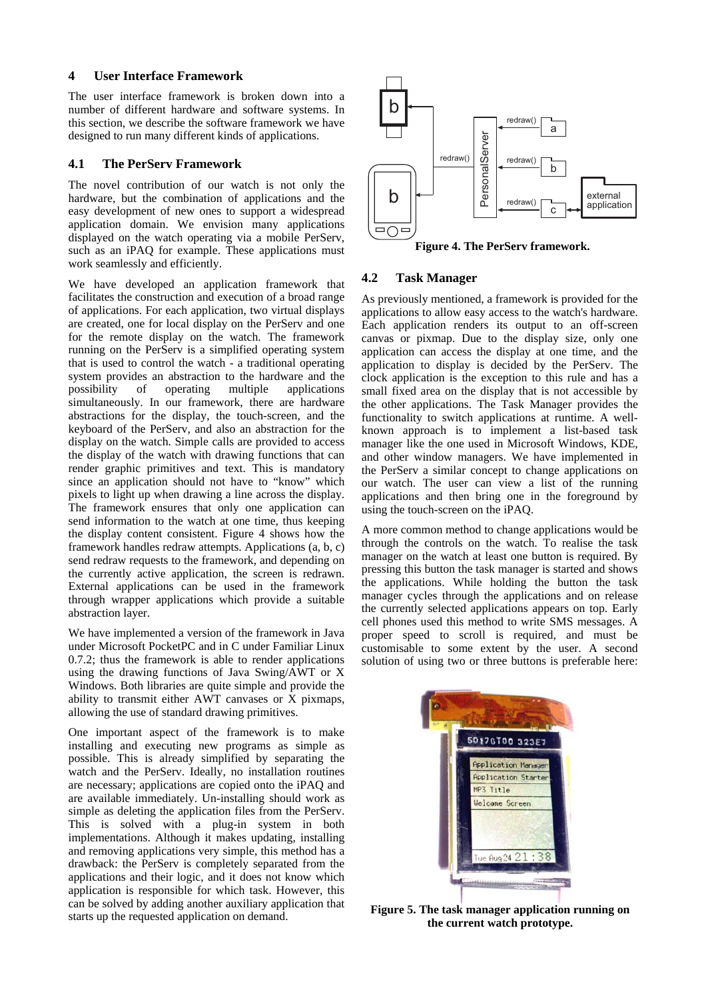#### **4 User Interface Framework**

The user interface framework is broken down into a number of different hardware and software systems. In this section, we describe the software framework we have designed to run many different kinds of applications.

### **4.1 The PerServ Framework**

The novel contribution of our watch is not only the hardware, but the combination of applications and the easy development of new ones to support a widespread application domain. We envision many applications displayed on the watch operating via a mobile PerServ, such as an iPAQ for example. These applications must work seamlessly and efficiently.

We have developed an application framework that facilitates the construction and execution of a broad range of applications. For each application, two virtual displays are created, one for local display on the PerServ and one for the remote display on the watch. The framework running on the PerServ is a simplified operating system that is used to control the watch - a traditional operating system provides an abstraction to the hardware and the possibility of operating multiple applications simultaneously. In our framework, there are hardware abstractions for the display, the touch-screen, and the keyboard of the PerServ, and also an abstraction for the display on the watch. Simple calls are provided to access the display of the watch with drawing functions that can render graphic primitives and text. This is mandatory since an application should not have to "know" which pixels to light up when drawing a line across the display. The framework ensures that only one application can send information to the watch at one time, thus keeping the display content consistent. Figure 4 shows how the framework handles redraw attempts. Applications (a, b, c) send redraw requests to the framework, and depending on the currently active application, the screen is redrawn. External applications can be used in the framework through wrapper applications which provide a suitable abstraction layer.

We have implemented a version of the framework in Java under Microsoft PocketPC and in C under Familiar Linux 0.7.2; thus the framework is able to render applications using the drawing functions of Java Swing/AWT or X Windows. Both libraries are quite simple and provide the ability to transmit either AWT canvases or X pixmaps, allowing the use of standard drawing primitives.

One important aspect of the framework is to make installing and executing new programs as simple as possible. This is already simplified by separating the watch and the PerServ. Ideally, no installation routines are necessary; applications are copied onto the iPAQ and are available immediately. Un-installing should work as simple as deleting the application files from the PerServ. This is solved with a plug-in system in both implementations. Although it makes updating, installing and removing applications very simple, this method has a drawback: the PerServ is completely separated from the applications and their logic, and it does not know which application is responsible for which task. However, this can be solved by adding another auxiliary application that starts up the requested application on demand.



**Figure 4. The PerServ framework.** 

### **4.2 Task Manager**

As previously mentioned, a framework is provided for the applications to allow easy access to the watch's hardware. Each application renders its output to an off-screen canvas or pixmap. Due to the display size, only one application can access the display at one time, and the application to display is decided by the PerServ. The clock application is the exception to this rule and has a small fixed area on the display that is not accessible by the other applications. The Task Manager provides the functionality to switch applications at runtime. A wellknown approach is to implement a list-based task manager like the one used in Microsoft Windows, KDE, and other window managers. We have implemented in the PerServ a similar concept to change applications on our watch. The user can view a list of the running applications and then bring one in the foreground by using the touch-screen on the iPAQ. solution of using two or three buttons is preferable here: -

A more common method to change applications would be through the controls on the watch. To realise the task manager on the watch at least one button is required. By pressing this button the task manager is started and shows the applications. While holding the button the task manager cycles through the applications and on release the currently selected applications appears on top. Early cell phones used this method to write SMS messages. A proper speed to scroll is required, and must be customisable to some extent by the user. A second



**Figure 5. The task manager application running on the current watch prototype.**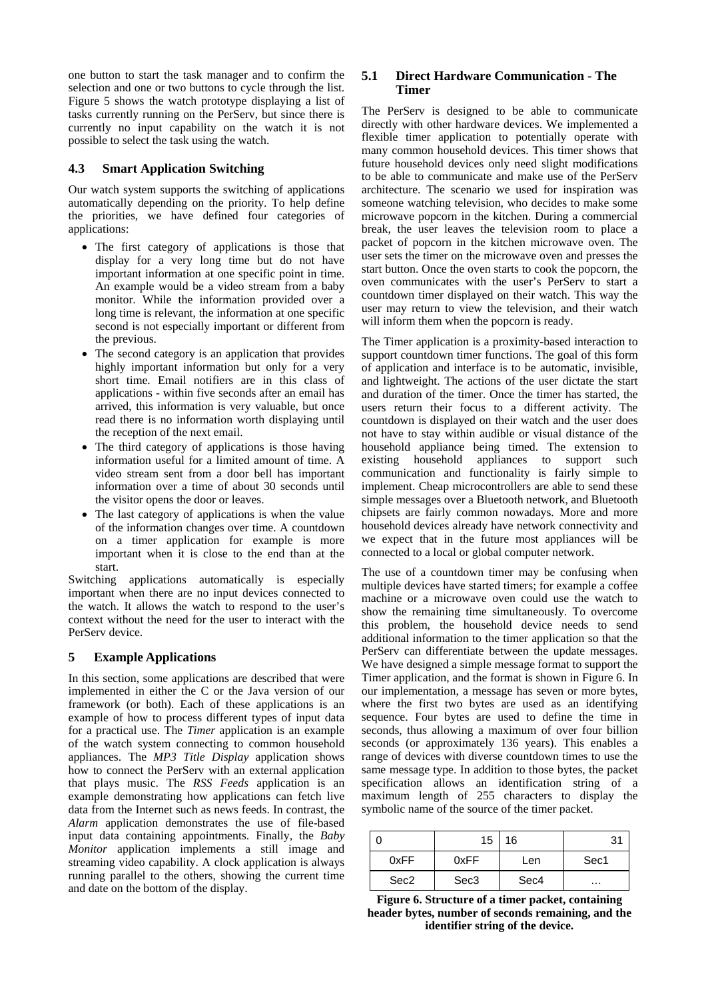one button to start the task manager and to confirm the selection and one or two buttons to cycle through the list. Figure 5 shows the watch prototype displaying a list of tasks currently running on the PerServ, but since there is currently no input capability on the watch it is not possible to select the task using the watch.

### **4.3 Smart Application Switching**

Our watch system supports the switching of applications automatically depending on the priority. To help define the priorities, we have defined four categories of applications:

- The first category of applications is those that display for a very long time but do not have important information at one specific point in time. An example would be a video stream from a baby monitor. While the information provided over a long time is relevant, the information at one specific second is not especially important or different from the previous.
- The second category is an application that provides highly important information but only for a very short time. Email notifiers are in this class of applications - within five seconds after an email has arrived, this information is very valuable, but once read there is no information worth displaying until the reception of the next email.
- The third category of applications is those having information useful for a limited amount of time. A video stream sent from a door bell has important information over a time of about 30 seconds until the visitor opens the door or leaves.
- The last category of applications is when the value of the information changes over time. A countdown on a timer application for example is more important when it is close to the end than at the start.

Switching applications automatically is especially important when there are no input devices connected to the watch. It allows the watch to respond to the user's context without the need for the user to interact with the PerServ device.

# **5 Example Applications**

In this section, some applications are described that were implemented in either the C or the Java version of our framework (or both). Each of these applications is an example of how to process different types of input data for a practical use. The *Timer* application is an example of the watch system connecting to common household appliances. The *MP3 Title Display* application shows how to connect the PerServ with an external application that plays music. The *RSS Feeds* application is an example demonstrating how applications can fetch live data from the Internet such as news feeds. In contrast, the *Alarm* application demonstrates the use of file-based input data containing appointments. Finally, the *Baby Monitor* application implements a still image and streaming video capability. A clock application is always running parallel to the others, showing the current time and date on the bottom of the display.

### **5.1 Direct Hardware Communication - The Timer**

The PerServ is designed to be able to communicate directly with other hardware devices. We implemented a flexible timer application to potentially operate with many common household devices. This timer shows that future household devices only need slight modifications to be able to communicate and make use of the PerServ architecture. The scenario we used for inspiration was someone watching television, who decides to make some microwave popcorn in the kitchen. During a commercial break, the user leaves the television room to place a packet of popcorn in the kitchen microwave oven. The user sets the timer on the microwave oven and presses the start button. Once the oven starts to cook the popcorn, the oven communicates with the user's PerServ to start a countdown timer displayed on their watch. This way the user may return to view the television, and their watch will inform them when the popcorn is ready.

The Timer application is a proximity-based interaction to support countdown timer functions. The goal of this form of application and interface is to be automatic, invisible, and lightweight. The actions of the user dictate the start and duration of the timer. Once the timer has started, the users return their focus to a different activity. The countdown is displayed on their watch and the user does not have to stay within audible or visual distance of the household appliance being timed. The extension to existing household appliances to support such communication and functionality is fairly simple to implement. Cheap microcontrollers are able to send these simple messages over a Bluetooth network, and Bluetooth chipsets are fairly common nowadays. More and more household devices already have network connectivity and we expect that in the future most appliances will be connected to a local or global computer network.

The use of a countdown timer may be confusing when multiple devices have started timers; for example a coffee machine or a microwave oven could use the watch to show the remaining time simultaneously. To overcome this problem, the household device needs to send additional information to the timer application so that the PerServ can differentiate between the update messages. We have designed a simple message format to support the Timer application, and the format is shown in Figure 6. In our implementation, a message has seven or more bytes, where the first two bytes are used as an identifying sequence. Four bytes are used to define the time in seconds, thus allowing a maximum of over four billion seconds (or approximately 136 years). This enables a range of devices with diverse countdown times to use the same message type. In addition to those bytes, the packet specification allows an identification string of a maximum length of 255 characters to display the symbolic name of the source of the timer packet.

|                  | 15               | 16   | 31       |
|------------------|------------------|------|----------|
| 0xFF             | 0xFF             | Len  | Sec1     |
| Sec <sub>2</sub> | Sec <sub>3</sub> | Sec4 | $\cdots$ |

**Figure 6. Structure of a timer packet, containing header bytes, number of seconds remaining, and the identifier string of the device.**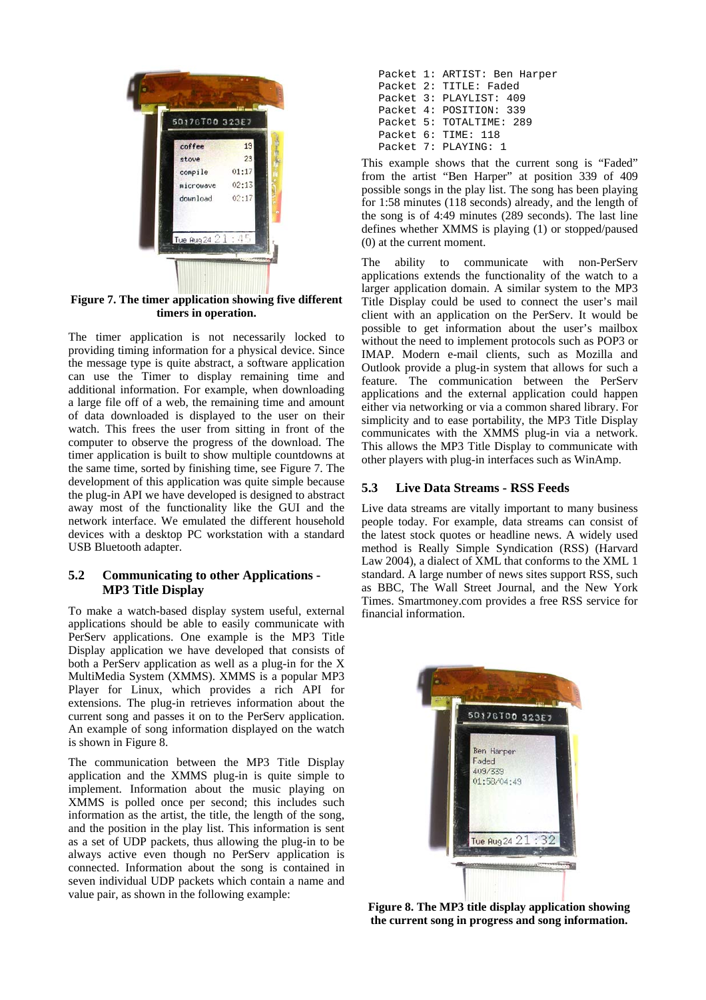

**Figure 7. The timer application showing five different timers in operation.** 

The timer application is not necessarily locked to providing timing information for a physical device. Since the message type is quite abstract, a software application can use the Timer to display remaining time and additional information. For example, when downloading a large file off of a web, the remaining time and amount of data downloaded is displayed to the user on their watch. This frees the user from sitting in front of the computer to observe the progress of the download. The timer application is built to show multiple countdowns at the same time, sorted by finishing time, see Figure 7. The development of this application was quite simple because the plug-in API we have developed is designed to abstract away most of the functionality like the GUI and the network interface. We emulated the different household devices with a desktop PC workstation with a standard USB Bluetooth adapter.

### **5.2 Communicating to other Applications - MP3 Title Display**

To make a watch-based display system useful, external applications should be able to easily communicate with PerServ applications. One example is the MP3 Title Display application we have developed that consists of both a PerServ application as well as a plug-in for the X MultiMedia System (XMMS). XMMS is a popular MP3 Player for Linux, which provides a rich API for extensions. The plug-in retrieves information about the current song and passes it on to the PerServ application. An example of song information displayed on the watch is shown in Figure 8.

The communication between the MP3 Title Display application and the XMMS plug-in is quite simple to implement. Information about the music playing on XMMS is polled once per second; this includes such information as the artist, the title, the length of the song, and the position in the play list. This information is sent as a set of UDP packets, thus allowing the plug-in to be always active even though no PerServ application is connected. Information about the song is contained in seven individual UDP packets which contain a name and value pair, as shown in the following example:

|  | Packet 1: ARTIST: Ben Harper |
|--|------------------------------|
|  | Packet 2: TITLE: Faded       |
|  | Packet 3: PLAYLIST: 409      |
|  | Packet 4: POSITION: 339      |
|  | Packet 5: TOTALTIME: 289     |
|  | Packet 6: TIME: 118          |
|  | Packet 7: PLAYING: 1         |

This example shows that the current song is "Faded" from the artist "Ben Harper" at position 339 of 409 possible songs in the play list. The song has been playing for 1:58 minutes (118 seconds) already, and the length of the song is of 4:49 minutes (289 seconds). The last line defines whether XMMS is playing (1) or stopped/paused (0) at the current moment.

The ability to communicate with non-PerServ applications extends the functionality of the watch to a larger application domain. A similar system to the MP3 Title Display could be used to connect the user's mail client with an application on the PerServ. It would be possible to get information about the user's mailbox without the need to implement protocols such as POP3 or IMAP. Modern e-mail clients, such as Mozilla and Outlook provide a plug-in system that allows for such a feature. The communication between the PerServ applications and the external application could happen either via networking or via a common shared library. For simplicity and to ease portability, the MP3 Title Display communicates with the XMMS plug-in via a network. This allows the MP3 Title Display to communicate with other players with plug-in interfaces such as WinAmp.

# **5.3 Live Data Streams - RSS Feeds**

Live data streams are vitally important to many business people today. For example, data streams can consist of the latest stock quotes or headline news. A widely used method is Really Simple Syndication (RSS) (Harvard Law 2004), a dialect of XML that conforms to the XML 1 standard. A large number of news sites support RSS, such as BBC, The Wall Street Journal, and the New York Times. Smartmoney.com provides a free RSS service for financial information.



**Figure 8. The MP3 title display application showing the current song in progress and song information.**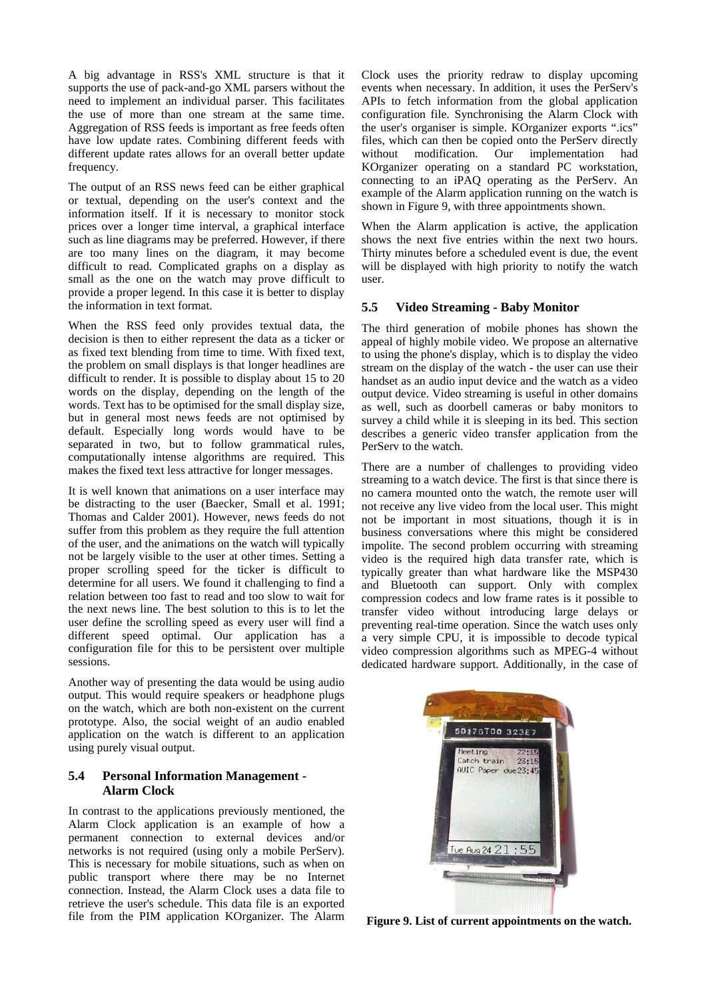A big advantage in RSS's XML structure is that it supports the use of pack-and-go XML parsers without the need to implement an individual parser. This facilitates the use of more than one stream at the same time. Aggregation of RSS feeds is important as free feeds often have low update rates. Combining different feeds with different update rates allows for an overall better update frequency.

The output of an RSS news feed can be either graphical or textual, depending on the user's context and the information itself. If it is necessary to monitor stock prices over a longer time interval, a graphical interface such as line diagrams may be preferred. However, if there are too many lines on the diagram, it may become difficult to read. Complicated graphs on a display as small as the one on the watch may prove difficult to provide a proper legend. In this case it is better to display the information in text format.

When the RSS feed only provides textual data, the decision is then to either represent the data as a ticker or as fixed text blending from time to time. With fixed text, the problem on small displays is that longer headlines are difficult to render. It is possible to display about 15 to 20 words on the display, depending on the length of the words. Text has to be optimised for the small display size, but in general most news feeds are not optimised by default. Especially long words would have to be separated in two, but to follow grammatical rules, computationally intense algorithms are required. This makes the fixed text less attractive for longer messages.

It is well known that animations on a user interface may be distracting to the user (Baecker, Small et al. 1991; Thomas and Calder 2001). However, news feeds do not suffer from this problem as they require the full attention of the user, and the animations on the watch will typically not be largely visible to the user at other times. Setting a proper scrolling speed for the ticker is difficult to determine for all users. We found it challenging to find a relation between too fast to read and too slow to wait for the next news line. The best solution to this is to let the user define the scrolling speed as every user will find a different speed optimal. Our application has a configuration file for this to be persistent over multiple sessions.

Another way of presenting the data would be using audio output. This would require speakers or headphone plugs on the watch, which are both non-existent on the current prototype. Also, the social weight of an audio enabled application on the watch is different to an application using purely visual output.

### **5.4 Personal Information Management - Alarm Clock**

In contrast to the applications previously mentioned, the Alarm Clock application is an example of how a permanent connection to external devices and/or networks is not required (using only a mobile PerServ). This is necessary for mobile situations, such as when on public transport where there may be no Internet connection. Instead, the Alarm Clock uses a data file to retrieve the user's schedule. This data file is an exported file from the PIM application KOrganizer. The Alarm Clock uses the priority redraw to display upcoming events when necessary. In addition, it uses the PerServ's APIs to fetch information from the global application configuration file. Synchronising the Alarm Clock with the user's organiser is simple. KOrganizer exports ".ics" files, which can then be copied onto the PerServ directly without modification. Our implementation had KOrganizer operating on a standard PC workstation, connecting to an iPAQ operating as the PerServ. An example of the Alarm application running on the watch is shown in Figure 9, with three appointments shown.

When the Alarm application is active, the application shows the next five entries within the next two hours. Thirty minutes before a scheduled event is due, the event will be displayed with high priority to notify the watch user.

### **5.5 Video Streaming - Baby Monitor**

The third generation of mobile phones has shown the appeal of highly mobile video. We propose an alternative to using the phone's display, which is to display the video stream on the display of the watch - the user can use their handset as an audio input device and the watch as a video output device. Video streaming is useful in other domains as well, such as doorbell cameras or baby monitors to survey a child while it is sleeping in its bed. This section describes a generic video transfer application from the PerServ to the watch.

There are a number of challenges to providing video streaming to a watch device. The first is that since there is no camera mounted onto the watch, the remote user will not receive any live video from the local user. This might not be important in most situations, though it is in business conversations where this might be considered impolite. The second problem occurring with streaming video is the required high data transfer rate, which is typically greater than what hardware like the MSP430 and Bluetooth can support. Only with complex compression codecs and low frame rates is it possible to transfer video without introducing large delays or preventing real-time operation. Since the watch uses only a very simple CPU, it is impossible to decode typical video compression algorithms such as MPEG-4 without dedicated hardware support. Additionally, in the case of



**Figure 9. List of current appointments on the watch.**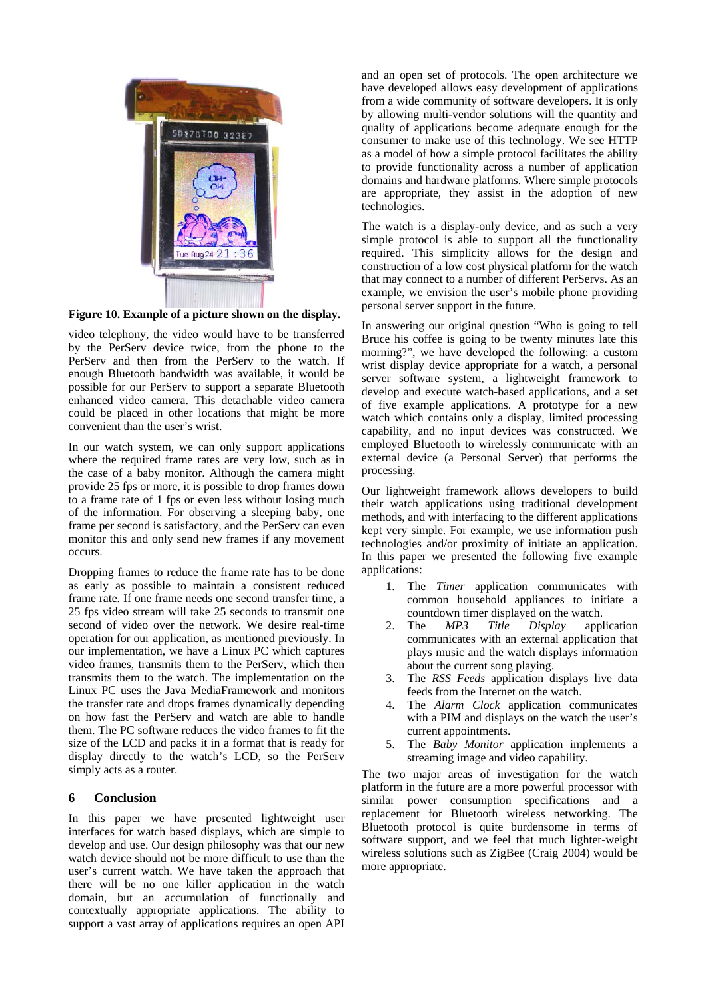

**Figure 10. Example of a picture shown on the display.**

video telephony, the video would have to be transferred by the PerServ device twice, from the phone to the PerServ and then from the PerServ to the watch. If enough Bluetooth bandwidth was available, it would be possible for our PerServ to support a separate Bluetooth enhanced video camera. This detachable video camera could be placed in other locations that might be more convenient than the user's wrist.

In our watch system, we can only support applications where the required frame rates are very low, such as in the case of a baby monitor. Although the camera might provide 25 fps or more, it is possible to drop frames down to a frame rate of 1 fps or even less without losing much of the information. For observing a sleeping baby, one frame per second is satisfactory, and the PerServ can even monitor this and only send new frames if any movement occurs.

Dropping frames to reduce the frame rate has to be done as early as possible to maintain a consistent reduced frame rate. If one frame needs one second transfer time, a 25 fps video stream will take 25 seconds to transmit one second of video over the network. We desire real-time operation for our application, as mentioned previously. In our implementation, we have a Linux PC which captures video frames, transmits them to the PerServ, which then transmits them to the watch. The implementation on the Linux PC uses the Java MediaFramework and monitors the transfer rate and drops frames dynamically depending on how fast the PerServ and watch are able to handle them. The PC software reduces the video frames to fit the size of the LCD and packs it in a format that is ready for display directly to the watch's LCD, so the PerServ simply acts as a router.

# **6 Conclusion**

In this paper we have presented lightweight user interfaces for watch based displays, which are simple to develop and use. Our design philosophy was that our new watch device should not be more difficult to use than the user's current watch. We have taken the approach that there will be no one killer application in the watch domain, but an accumulation of functionally and contextually appropriate applications. The ability to support a vast array of applications requires an open API

and an open set of protocols. The open architecture we have developed allows easy development of applications from a wide community of software developers. It is only by allowing multi-vendor solutions will the quantity and quality of applications become adequate enough for the consumer to make use of this technology. We see HTTP as a model of how a simple protocol facilitates the ability to provide functionality across a number of application domains and hardware platforms. Where simple protocols are appropriate, they assist in the adoption of new technologies.

The watch is a display-only device, and as such a very simple protocol is able to support all the functionality required. This simplicity allows for the design and construction of a low cost physical platform for the watch that may connect to a number of different PerServs. As an example, we envision the user's mobile phone providing personal server support in the future.

In answering our original question "Who is going to tell Bruce his coffee is going to be twenty minutes late this morning?", we have developed the following: a custom wrist display device appropriate for a watch, a personal server software system, a lightweight framework to develop and execute watch-based applications, and a set of five example applications. A prototype for a new watch which contains only a display, limited processing capability, and no input devices was constructed. We employed Bluetooth to wirelessly communicate with an external device (a Personal Server) that performs the processing.

Our lightweight framework allows developers to build their watch applications using traditional development methods, and with interfacing to the different applications kept very simple. For example, we use information push technologies and/or proximity of initiate an application. In this paper we presented the following five example applications:

- 1. The *Timer* application communicates with common household appliances to initiate a countdown timer displayed on the watch.
- 2. The *MP3 Title Display* application communicates with an external application that plays music and the watch displays information about the current song playing.
- 3. The *RSS Feeds* application displays live data feeds from the Internet on the watch.
- 4. The *Alarm Clock* application communicates with a PIM and displays on the watch the user's current appointments.
- 5. The *Baby Monitor* application implements a streaming image and video capability.

The two major areas of investigation for the watch platform in the future are a more powerful processor with similar power consumption specifications and a replacement for Bluetooth wireless networking. The Bluetooth protocol is quite burdensome in terms of software support, and we feel that much lighter-weight wireless solutions such as ZigBee (Craig 2004) would be more appropriate.